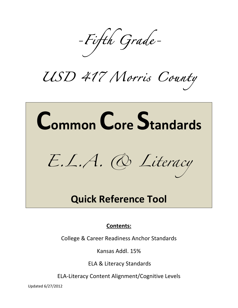*-Fifth Grade-*

*USD 417 Morris County* 

## Common Core Standards *E.L.A. & Literacy*

## **Quick Reference Tool**

## **Contents:**

College & Career Readiness Anchor Standards

Kansas Addl. 15%

ELA & Literacy Standards

ELA-Literacy Content Alignment/Cognitive Levels

Updated'6/27/2012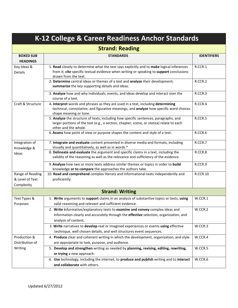| K-12 College & Career Readiness Anchor Standards  |                                                                                                                                                                                                              |                    |  |  |  |  |  |  |
|---------------------------------------------------|--------------------------------------------------------------------------------------------------------------------------------------------------------------------------------------------------------------|--------------------|--|--|--|--|--|--|
|                                                   | <b>Strand: Reading</b>                                                                                                                                                                                       |                    |  |  |  |  |  |  |
| <b>BOXED SUB</b><br><b>HEADINGS</b>               | <b>STANDARDS</b>                                                                                                                                                                                             | <b>IDENTIFIERS</b> |  |  |  |  |  |  |
| Key Ideas &<br>Details                            | 1. Read closely to determine what the text says explicitly and to make logical inferences<br>from it; cite specific textual evidence when writing or speaking to support conclusions<br>drawn from the text. | R.CCR.1            |  |  |  |  |  |  |
|                                                   | 2. Determine central ideas or themes of a text and analyze their development;<br>summarize the key supporting details and ideas.                                                                             | R.CCR.2            |  |  |  |  |  |  |
|                                                   | 3. Analyze how and why individuals, events, and ideas develop and interact over the<br>course of a text.                                                                                                     | R.CCR.3            |  |  |  |  |  |  |
| Craft & Structure                                 | 4. Interpret words and phrases as they are used in a text, including determining<br>technical, connotative, and figurative meanings, and analyze how specific word choices<br>shape meaning or tone.         | R.CCR.4            |  |  |  |  |  |  |
|                                                   | 5. Analyze the structure of texts, including how specific sentences, paragraphs, and<br>larger portions of the text (e.g., a section, chapter, scene, or stanza) relate to each<br>other and the whole.      | R.CCR.5            |  |  |  |  |  |  |
|                                                   | 6. Assess how point of view or purpose shapes the content and style of a text.                                                                                                                               | R.CCR.6            |  |  |  |  |  |  |
| Integration of<br>Knowledge &                     | 7. Integrate and evaluate content presented in diverse media and formats, including<br>visually and quantitatively, as well as in words.*                                                                    | R.CCR.7            |  |  |  |  |  |  |
| Ideas                                             | 8. Delineate and evaluate the argument and specific claims in a text, including the<br>validity of the reasoning as well as the relevance and sufficiency of the evidence.                                   | R.CCR.8            |  |  |  |  |  |  |
|                                                   | 9. Analyze how two or more texts address similar themes or topics in order to build<br>knowledge or to compare the approaches the authors take.                                                              | R.CCR.9            |  |  |  |  |  |  |
| Range of Reading<br>& Level of Text<br>Complexity | 10. Read and comprehend complex literary and informational texts independently and<br>proficiently.                                                                                                          | <b>R.CCR.10</b>    |  |  |  |  |  |  |
|                                                   | <b>Strand: Writing</b>                                                                                                                                                                                       |                    |  |  |  |  |  |  |
| Text Types &<br>Purposes                          | 1. Write arguments to support claims in an analysis of substantive topics or texts, using<br>valid reasoning and relevant and sufficient evidence.                                                           | W.CCR.1            |  |  |  |  |  |  |
|                                                   | 2. Write informative/explanatory texts to examine and convey complex ideas and<br>information clearly and accurately through the effective selection, organization, and<br>analysis of content.              | W.CCR.2            |  |  |  |  |  |  |
|                                                   | 3. Write narratives to develop real or imagined experiences or events using effective<br>technique, well chosen details, and well structures event sequences.                                                | W.CCR.3            |  |  |  |  |  |  |
| Production &<br>Distribution of                   | 4. Produce clear and coherent writing in which the development, organization, and style<br>are appropriate to task, purpose, and audience.                                                                   | W.CCR.4            |  |  |  |  |  |  |
| Writing                                           | 5. Develop and strengthen writing as needed by planning, revising, editing, rewriting,<br>or trying a new approach.                                                                                          | W.CCR.5            |  |  |  |  |  |  |
|                                                   | 6. Use technology, including the internet, to produce and publish writing and to interact<br>and collaborate with others.                                                                                    | W.CCR.6            |  |  |  |  |  |  |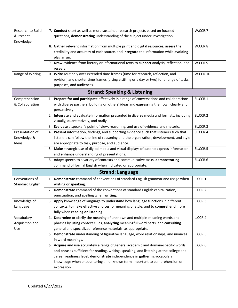| Research to Build       | 7. Conduct short as well as more sustained research projects based on focused              | W.CCR.7  |
|-------------------------|--------------------------------------------------------------------------------------------|----------|
| & Present               | questions, demonstrating understanding of the subject under investigation.                 |          |
| Knowledge               |                                                                                            |          |
|                         | 8. Gather relevant information from multiple print and digital resources, assess the       | W.CCR.8  |
|                         | credibility and accuracy of each source, and integrate the information while avoiding      |          |
|                         | plagiarism.                                                                                |          |
|                         | 9. Draw evidence from literary or informational texts to support analysis, reflection, and | W.CCR.9  |
|                         | research.                                                                                  |          |
| Range of Writing        | 10. Write routinely over extended time frames (time for research, reflection, and          | W.CCR.10 |
|                         | revision) and shorter time frames (a single sitting or a day or two) for a range of tasks, |          |
|                         | purposes, and audiences.                                                                   |          |
|                         | <b>Strand: Speaking &amp; Listening</b>                                                    |          |
| Comprehension           | 1. Prepare for and participate effectively in a range of conversations and collaborations  | SL.CCR.1 |
| & Collaboration         | with diverse partners, building on others' ideas and expressing their own clearly and      |          |
|                         | persuasively.                                                                              |          |
|                         | 2. Integrate and evaluate information presented in diverse media and formats, including    | SL.CCR.2 |
|                         | visually, quantitatively, and orally.                                                      |          |
|                         | 3. Evaluate a speaker's point of view, reasoning, and use of evidence and rhetoric.        | SL,CCR.3 |
| Presentation of         | 4. Present information, findings, and supporting evidence such that listeners such that    | SL.CCR.4 |
| Knowledge &             | listeners can follow the line of reasoning and the organization, development, and style    |          |
| Ideas                   | are appropriate to task, purpose, and audience.                                            |          |
|                         | 5. Make strategic use of digital media and visual displays of data to express information  | SL.CCR.5 |
|                         | and enhance understanding of presentations.                                                |          |
|                         | 6. Adapt speech to a variety of contexts and communicative tasks, demonstrating            | SL.CCR.6 |
|                         | command of formal English when indicated or appropriate.                                   |          |
|                         | <b>Strand: Language</b>                                                                    |          |
| Conventions of          | 1. Demonstrate command of conventions of standard English grammar and usage when           | L.CCR.1  |
| <b>Standard English</b> | writing or speaking.                                                                       |          |
|                         | 2. Demonstrate command of the conventions of standard English capitalization,              | L.CCR.2  |
|                         | punctuation, and spelling when writing.                                                    |          |
| Knowledge of            | 3. Apply knowledge of language to understand how language functions in different           | L.CCR.3  |
| Language                | contexts, to make effective choices for meaning or style, and to comprehend more           |          |
|                         | fully when reading or listening.                                                           |          |
| Vocabulary              | 4. Determine or clarify the meaning of unknown and multiple-meaning words and              | L.CCR.4  |
| Acquisition and         | phrases by using context clues, analyzing meaningful word parts, and consulting            |          |
| Use                     | general and specialized reference materials, as appropriate.                               |          |
|                         | 5. Demonstrate understanding of figurative language, word relationships, and nuances       | L.CCR.5  |
|                         | in word meanings.                                                                          |          |
|                         | 6. Acquire and use accurately a range of general academic and domain-specific words        | L.CCR.6  |
|                         | and phrases sufficient for reading, writing, speaking, and listening at the college and    |          |
|                         | career readiness level; demonstrate independence in gathering vocabulary                   |          |
|                         | knowledge when encountering an unknown term important to comprehension or                  |          |
|                         | expression.                                                                                |          |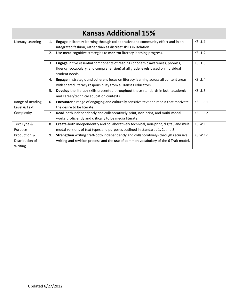|                   |    | <b>Kansas Additional 15%</b>                                                           |                 |
|-------------------|----|----------------------------------------------------------------------------------------|-----------------|
| Literacy Learning | 1. | Engage in literacy learning through collaborative and community effort and in an       | KS.LL.1         |
|                   |    | integrated fashion, rather than as discreet skills in isolation.                       |                 |
|                   | 2. | Use meta-cognitive strategies to monitor literacy learning progress.                   | KS.LL.2         |
|                   | 3. | Engage in five essential components of reading (phonemic awareness, phonics,           | KS.LL.3         |
|                   |    | fluency, vocabulary, and comprehension) at all grade levels based on individual        |                 |
|                   |    | student needs.                                                                         |                 |
|                   | 4. | Engage in strategic and coherent focus on literacy learning across all content areas   | KS.LL.4         |
|                   |    | with shared literacy responsibility from all Kansas educators.                         |                 |
|                   | 5. | Develop the literacy skills presented throughout these standards in both academic      | KS.LL.5         |
|                   |    | and career/technical education contexts.                                               |                 |
| Range of Reading  | 6. | Encounter a range of engaging and culturally sensitive text and media that motivate    | <b>KS.RL.11</b> |
| Level & Text      |    | the desire to be literate.                                                             |                 |
| Complexity        | 7. | Read-both independently and collaboratively-print, non-print, and multi-modal          | <b>KS.RL.12</b> |
|                   |    | works proficiently and critically to be media literate.                                |                 |
| Text Type &       | 8. | Create-both independently and collaboratively technical, non-print, digital, and multi | KS.W.11         |
| Purpose           |    | modal versions of text types and purposes outlined in standards 1, 2, and 3.           |                 |
| Production &      | 9. | Strengthen writing craft-both independently and collaboratively-through recursive      | KS.W.12         |
| Distribution of   |    | writing and revision process and the use of common vocabulary of the 6 Trait model.    |                 |
| Writing           |    |                                                                                        |                 |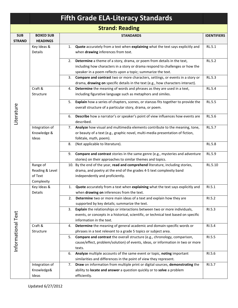|                             |                                                      |                                                                                                                                                                              | <b>Fifth Grade ELA-Literacy Standards</b>                                                                                                                                                                               |                    |  |  |  |  |
|-----------------------------|------------------------------------------------------|------------------------------------------------------------------------------------------------------------------------------------------------------------------------------|-------------------------------------------------------------------------------------------------------------------------------------------------------------------------------------------------------------------------|--------------------|--|--|--|--|
|                             |                                                      |                                                                                                                                                                              | <b>Strand: Reading</b>                                                                                                                                                                                                  |                    |  |  |  |  |
| <b>SUB</b><br><b>STRAND</b> | <b>BOXED SUB</b><br><b>HEADINGS</b>                  |                                                                                                                                                                              | <b>STANDARDS</b>                                                                                                                                                                                                        | <b>IDENTIFIERS</b> |  |  |  |  |
|                             | Key Ideas &<br>Details                               | 1.                                                                                                                                                                           | Quote accurately from a text when explaining what the text says explicitly and<br>when drawing inferences from text.                                                                                                    | RL.5.1             |  |  |  |  |
|                             |                                                      | 2.                                                                                                                                                                           | Determine a theme of a story, drama, or poem from details in the text,<br>including how characters in a story or drama respond to challenges or how the<br>speaker in a poem reflects upon a topic; summarize the text. | RL.5.2             |  |  |  |  |
|                             |                                                      | 3.                                                                                                                                                                           | Compare and contrast two or more characters, settings, or events in a story or<br>drama, drawing on specific details in the text (e.g., how characters interact).                                                       | RL.5.3             |  |  |  |  |
|                             | Craft &<br>Structure                                 | 4.                                                                                                                                                                           | Determine the meaning of words and phrases as they are used in a text,<br>including figurative language such as metaphors and similes.                                                                                  | RL.5.4             |  |  |  |  |
|                             |                                                      | 5.                                                                                                                                                                           | Explain how a series of chapters, scenes, or stanzas fits together to provide the<br>overall structure of a particular story, drama, or poem.                                                                           | RL.5.5             |  |  |  |  |
| Literature                  |                                                      | 6.                                                                                                                                                                           | Describe how a narrator's or speaker's point of view influences how events are<br>described.                                                                                                                            | RL.5.6             |  |  |  |  |
|                             | Integration of<br>Knowledge &<br>Ideas               | 7.                                                                                                                                                                           | Analyze how visual and multimedia elements contribute to the meaning, tone,<br>or beauty of a text (e.g., graphic novel, multi-media presentation of fiction,<br>folktale, myth, poem).                                 | RL.5.7             |  |  |  |  |
|                             |                                                      | 8.                                                                                                                                                                           | (Not applicable to literature).                                                                                                                                                                                         | <b>RL.5.8</b>      |  |  |  |  |
|                             |                                                      | 9.                                                                                                                                                                           | Compare and contrast stories in the same genre (e.g., mysteries and adventure<br>stories) on their approaches to similar themes and topics.                                                                             | RL.5.9             |  |  |  |  |
|                             | Range of<br>Reading & Level<br>of Text<br>Complexity |                                                                                                                                                                              | 10. By the end of the year, read and comprehend literature, including stories,<br>drama, and poetry at the end of the grades 4-5 text complexity band<br>independently and proficiently.                                | RL.5.10            |  |  |  |  |
|                             | Key Ideas &<br>Details                               |                                                                                                                                                                              | Quote accurately from a text when explaining what the text says explicitly and<br>when drawing on inferences from the text.                                                                                             | KI.5.1             |  |  |  |  |
|                             |                                                      | 2.                                                                                                                                                                           | Determine two or more main ideas of a text and explain how they are<br>supported by key details; summarize the text.                                                                                                    | RI.5.2             |  |  |  |  |
|                             |                                                      | 3.                                                                                                                                                                           | Explain the relationships or interactions between two or more individuals,<br>events, or concepts in a historical, scientific, or technical text based on specific<br>information in the text.                          | RI.5.3             |  |  |  |  |
|                             | Craft &<br>Structure                                 | 4.                                                                                                                                                                           | Determine the meaning of general academic and domain-specific words or<br>phrases in a text relevant to a grade 5 topics or subject area.                                                                               | RI.5.4             |  |  |  |  |
| Informational Text          |                                                      | 5.                                                                                                                                                                           | Compare and contrast the overall structure (e.g., chronology, comparison,<br>cause/effect, problem/solution) of events, ideas, or information in two or more<br>texts.                                                  | RI.5.5             |  |  |  |  |
|                             |                                                      | 6.                                                                                                                                                                           | Analyze multiple accounts of the same event or topic, noting important<br>similarities and differences in the point of view they represent.                                                                             | RI.5.6             |  |  |  |  |
|                             | Integration of<br>Knowledge&<br>Ideas                | Draw on information from multiple print or digital sources, demonstrating the<br>7.<br>ability to locate and answer a question quickly or to solve a problem<br>efficiently. |                                                                                                                                                                                                                         |                    |  |  |  |  |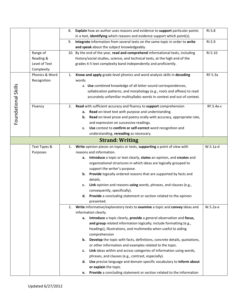|                     |                | 8. | Explain how an author uses reasons and evidence to support particular points                            | RI.5.8     |
|---------------------|----------------|----|---------------------------------------------------------------------------------------------------------|------------|
|                     |                |    | in a text, identifying which reasons and evidence support which point(s).                               |            |
|                     |                | 9. | Integrate information from several texts on the same topic in order to write                            | RI.5.9     |
|                     |                |    | and speak about the subject knowledgeably.                                                              |            |
|                     | Range of       |    | 10. By the end of the year, read and comprehend informational texts, including                          | RI.5.10    |
|                     | Reading &      |    | history/social studies, science, and technical texts, at the high end of the                            |            |
|                     | Level of Text  |    | grades 4-5 text complexity band independently and proficiently.                                         |            |
|                     | Complexity     |    |                                                                                                         |            |
|                     | Phonics & Word | 1. | Know and apply grade-level phonics and word analysis skills in decoding                                 | RF.5.3a    |
|                     | Recognition    |    | words.                                                                                                  |            |
|                     |                |    | a. Use combined knowledge of all letter-sound correspondences,                                          |            |
|                     |                |    | syllabication patterns, and morphology (e.g., roots and affixes) to read                                |            |
|                     |                |    | accurately unfamiliar multisyllabic words in context and out of context.                                |            |
| Foundational Skills | Fluency        | 2. | Read with sufficient accuracy and fluency to support comprehension                                      | RF.5.4a-c  |
|                     |                |    | Read on-level text with purpose and understanding.<br>а.                                                |            |
|                     |                |    | b. Read on-level prose and poetry orally with accuracy, appropriate rate,                               |            |
|                     |                |    | and expression on successive readings.                                                                  |            |
|                     |                |    | Use context to confirm or self-correct word recognition and<br>c.                                       |            |
|                     |                |    | understanding, rereading as necessary.                                                                  |            |
|                     |                |    | <b>Strand: Writing</b>                                                                                  |            |
|                     | Text Types &   | 1. | Write opinion pieces on topics or texts, supporting a point of view with                                | $W.5.1a-d$ |
|                     | Purposes       |    | reasons and information.                                                                                |            |
|                     |                |    | a. Introduce a topic or text clearly, states an opinion, and creates and                                |            |
|                     |                |    | organizational structures in which ideas are logically grouped to                                       |            |
|                     |                |    | support the writer's purpose.                                                                           |            |
|                     |                |    | <b>b.</b> Provide logically ordered reasons that are supported by facts and<br>details.                 |            |
|                     |                |    |                                                                                                         |            |
|                     |                |    | Link opinion and reasons using words, phrases, and clauses (e.g.,<br>c.<br>consequently, specifically). |            |
|                     |                |    | d. Provide a concluding statement or section related to the opinion                                     |            |
|                     |                |    | presented.                                                                                              |            |
|                     |                | 2. | Write informative/explanatory texts to examine a topic and convey ideas and                             | W.5.2a-e   |
|                     |                |    | information clearly.                                                                                    |            |
|                     |                |    | Introduce a topic clearly, provide a general observation and focus,<br>а.                               |            |
|                     |                |    | and group related information logically; include formatting (e.g.,                                      |            |
|                     |                |    | headings), illustrations, and multimedia when useful to aiding                                          |            |
|                     |                |    | comprehension                                                                                           |            |
|                     |                |    | <b>b.</b> Develop the topic with facts, definitions, concrete details, quotations,                      |            |
|                     |                |    | or other information and examples related to the topic.                                                 |            |
|                     |                |    | Link ideas within and across categories of information using words,<br>c.                               |            |
|                     |                |    | phrases, and clauses (e.g., contrast, especially).                                                      |            |
|                     |                |    | d. Use precise language and domain specific vocabulary to inform about                                  |            |
|                     |                |    | or explain the topic.                                                                                   |            |
|                     |                |    | Provide a concluding statement or section related to the information<br>e.                              |            |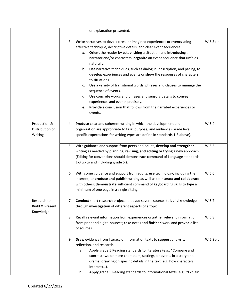|                                                        |    | or explanation presented.                                                                                                                                                                                                                                                                                                                                                                                                                                                                                                                                                                                                                                                                                                                                                               |            |
|--------------------------------------------------------|----|-----------------------------------------------------------------------------------------------------------------------------------------------------------------------------------------------------------------------------------------------------------------------------------------------------------------------------------------------------------------------------------------------------------------------------------------------------------------------------------------------------------------------------------------------------------------------------------------------------------------------------------------------------------------------------------------------------------------------------------------------------------------------------------------|------------|
|                                                        | 3. | Write narratives to develop real or imagined experiences or events using<br>effective technique, descriptive details, and clear event sequences.<br>a. Orient the reader by establishing a situation and introducing a<br>narrator and/or characters; organize an event sequence that unfolds<br>naturally.<br>b. Use narrative techniques, such as dialogue, description, and pacing, to<br>develop experiences and events or show the responses of characters<br>to situations.<br>Use a variety of transitional words, phrases and clauses to manage the<br>c.<br>sequence of events.<br>d. Use concrete words and phrases and sensory details to convey<br>experiences and events precisely.<br>Provide a conclusion that follows from the narrated experiences or<br>е.<br>events. | W.5.3a-e   |
| Production &<br>Distribution of<br>Writing             | 4. | Produce clear and coherent writing in which the development and<br>organization are appropriate to task, purpose, and audience (Grade level<br>specific expectations for writing types are define in standards 1-3 above).                                                                                                                                                                                                                                                                                                                                                                                                                                                                                                                                                              | W.5.4      |
|                                                        | 5. | With guidance and support from peers and adults, develop and strengthen<br>writing as needed by planning, revising, and editing or trying a new approach.<br>(Editing for conventions should demonstrate command of Language standards<br>1-3 up to and including grade 5.).                                                                                                                                                                                                                                                                                                                                                                                                                                                                                                            | W.5.5      |
|                                                        | 6. | With some guidance and support from adults, use technology, including the<br>internet, to produce and publish writing as well as to interact and collaborate<br>with others; demonstrate sufficient command of keyboarding skills to type a<br>minimum of one page in a single sitting.                                                                                                                                                                                                                                                                                                                                                                                                                                                                                                 | W.5.6      |
| Research to<br><b>Build &amp; Present</b><br>Knowledge | 7. | Conduct short research projects that use several sources to build knowledge<br>through investigation of different aspects of a topic.                                                                                                                                                                                                                                                                                                                                                                                                                                                                                                                                                                                                                                                   | W.5.7      |
|                                                        | 8. | Recall relevant information from experiences or gather relevant information<br>from print and digital sources; take notes and finished work and proved a list<br>of sources.                                                                                                                                                                                                                                                                                                                                                                                                                                                                                                                                                                                                            | W.5.8      |
|                                                        | 9. | Draw evidence from literacy or information texts to support analysis,<br>reflection, and research.<br>Apply grade 5 Reading standards to literature (e.g., "Compare and<br>a.<br>contrast two or more characters, settings, or events in a story or a<br>drama, drawing on specific details in the text (e.g. how characters<br>interact)).<br>Apply grade 5 Reading standards to informational texts (e.g., "Explain<br>b.                                                                                                                                                                                                                                                                                                                                                             | $W.5.9a-b$ |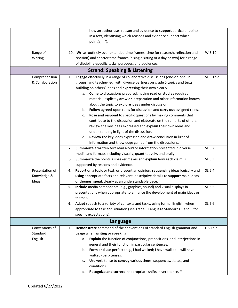|                 |                                                                 | how an author uses reason and evidence to support particular points              |             |  |  |  |  |
|-----------------|-----------------------------------------------------------------|----------------------------------------------------------------------------------|-------------|--|--|--|--|
|                 | in a text, identifying which reasons and evidence support which |                                                                                  |             |  |  |  |  |
|                 |                                                                 | point(s)").                                                                      |             |  |  |  |  |
|                 |                                                                 |                                                                                  |             |  |  |  |  |
| Range of        |                                                                 | 10. Write routinely over extended time frames (time for research, reflection and | W.5.10      |  |  |  |  |
| Writing         |                                                                 | revision) and shorter time frames (a single sitting or a day or two) for a range |             |  |  |  |  |
|                 |                                                                 | of discipline-specific tasks, purposes, and audiences.                           |             |  |  |  |  |
|                 |                                                                 | <b>Strand: Speaking &amp; Listening</b>                                          |             |  |  |  |  |
| Comprehension   | 1.                                                              | Engage effectively in a range of collaborative discussions (one-on-one, in       | $SL.5.1a-d$ |  |  |  |  |
| & Collaboration |                                                                 | groups, and teacher-led) with diverse partners on grade 5 topics and texts,      |             |  |  |  |  |
|                 |                                                                 | building on others' ideas and expressing their own clearly.                      |             |  |  |  |  |
|                 |                                                                 | a. Come to discussions prepared, having read or studies required                 |             |  |  |  |  |
|                 |                                                                 | material; explicitly draw on preparation and other information known             |             |  |  |  |  |
|                 |                                                                 | about the topic to explore ideas under discussion.                               |             |  |  |  |  |
|                 |                                                                 | b. Follow agreed-upon rules for discussion and carry out assigned roles.         |             |  |  |  |  |
|                 |                                                                 | Pose and respond to specific questions by making comments that<br>c.             |             |  |  |  |  |
|                 |                                                                 | contribute to the discussion and elaborate on the remarks of others,             |             |  |  |  |  |
|                 |                                                                 | review the key ideas expressed and explain their own ideas and                   |             |  |  |  |  |
|                 |                                                                 | understanding in light of the discussion.                                        |             |  |  |  |  |
|                 |                                                                 | Review the key ideas expressed and draw conclusion in light of<br>d.             |             |  |  |  |  |
|                 |                                                                 | information and knowledge gained from the discussions.                           |             |  |  |  |  |
|                 | 2.                                                              | Summarize a written text read aloud or information presented in diverse          | SL.5.2      |  |  |  |  |
|                 |                                                                 | media and formats including visually, quantitatively, and orally.                |             |  |  |  |  |
|                 | з.                                                              | Summarize the points a speaker makes and explain how each claim is               | SL.5.3      |  |  |  |  |
|                 |                                                                 | supported by reasons and evidence.                                               |             |  |  |  |  |
| Presentation of | 4.                                                              | Report on a topic or text, or present an opinion, sequencing ideas logically and | SL.5.4      |  |  |  |  |
| Knowledge &     |                                                                 | using appropriate facts and relevant, descriptive details to support main ideas  |             |  |  |  |  |
| Ideas           |                                                                 | or themes; speak clearly at an understandable pace.                              |             |  |  |  |  |
|                 | 5.                                                              | Include media components (e.g., graphics, sound) and visual displays in          | SL.5.5      |  |  |  |  |
|                 |                                                                 | presentations when appropriate to enhance the development of main ideas or       |             |  |  |  |  |
|                 |                                                                 | themes.                                                                          |             |  |  |  |  |
|                 | 6.                                                              | Adapt speech to a variety of contexts and tasks, using formal English, when      | SL.5.6      |  |  |  |  |
|                 |                                                                 | appropriate to task and situation (see grade 5 Language Standards 1 and 3 for    |             |  |  |  |  |
|                 |                                                                 | specific expectations).                                                          |             |  |  |  |  |
|                 |                                                                 | Language                                                                         |             |  |  |  |  |
| Conventions of  | 1.                                                              | Demonstrate command of the conventions of standard English grammar and           | $L.5.1a-e$  |  |  |  |  |
| Standard        |                                                                 | usage when writing or speaking.                                                  |             |  |  |  |  |
| English         |                                                                 | Explain the function of conjunctions, prepositions, and interjections in<br>а.   |             |  |  |  |  |
|                 |                                                                 | general and their function in particular sentences.                              |             |  |  |  |  |
|                 |                                                                 | b. Form and use perfect (e.g., I had walked; I have walked; I will have          |             |  |  |  |  |
|                 |                                                                 | walked) verb tenses.                                                             |             |  |  |  |  |
|                 |                                                                 | Use verb tense to convey various times, sequences, states, and<br>c.             |             |  |  |  |  |
|                 |                                                                 | conditions.                                                                      |             |  |  |  |  |
|                 |                                                                 | Recognize and correct inappropriate shifts in verb tense. *<br>d.                |             |  |  |  |  |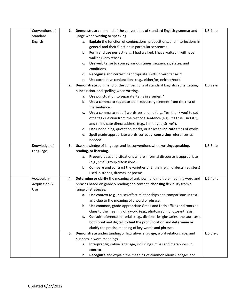| Conventions of | 1. | Demonstrate command of the conventions of standard English grammar and              | $L.5.1a-e$  |
|----------------|----|-------------------------------------------------------------------------------------|-------------|
| Standard       |    | usage when writing or speaking.                                                     |             |
| English        |    | Explain the function of conjunctions, prepositions, and interjections in<br>а.      |             |
|                |    | general and their function in particular sentences.                                 |             |
|                |    | b. Form and use perfect (e.g., I had walked; I have walked; I will have             |             |
|                |    | walked) verb tenses.                                                                |             |
|                |    | Use verb tense to convey various times, sequences, states, and<br>c.                |             |
|                |    | conditions.                                                                         |             |
|                |    | Recognize and correct inappropriate shifts in verb tense. *<br>d.                   |             |
|                |    | Use correlative conjunctions (e.g., either/or, neither/nor).<br>e.                  |             |
|                | 2. | Demonstrate command of the conventions of standard English capitalization,          | $L.5.2a-e$  |
|                |    | punctuation, and spelling when writing.                                             |             |
|                |    | a. Use punctuation to separate items in a series. *                                 |             |
|                |    | b. Use a comma to separate an introductory element from the rest of                 |             |
|                |    | the sentence.                                                                       |             |
|                |    | Use a comma to set off words yes and no (e.g., Yes, thank you) to set<br>c.         |             |
|                |    | off a tag question from the rest of a sentence (e.g., It's true, isn't it?),        |             |
|                |    | and to indicate direct address (e.g., Is that you, Steve?).                         |             |
|                |    | d. Use underlining, quotation marks, or italics to indicate titles of works.        |             |
|                |    | Spell grade-appropriate words correctly, consulting references as<br>е.             |             |
|                |    | needed.                                                                             |             |
| Knowledge of   | З. | Use knowledge of language and its conventions when writing, speaking,               | $L.5.3a-b$  |
| Language       |    | reading, or listening.                                                              |             |
|                |    | a. Present ideas and situations where informal discourse is appropriate             |             |
|                |    | (e.g., small-group discussions).                                                    |             |
|                |    | <b>b.</b> Compare and contrast the varieties of English (e.g., dialects, registers) |             |
|                |    | used in stories, dramas, or poems.                                                  |             |
| Vocabulary     | 4. | Determine or clarify the meaning of unknown and multiple-meaning word and           | $L.5.4a- c$ |
| Acquisition &  |    | phrases based on grade 5 reading and content, choosing flexibility from a           |             |
| Use            |    | range of strategies.                                                                |             |
|                |    | Use context (e.g., cause/effect relationships and comparisons in text)<br>а.        |             |
|                |    | as a clue to the meaning of a word or phrase.                                       |             |
|                |    | b.<br><b>Use</b> common, grade-appropriate Greek and Latin affixes and roots as     |             |
|                |    | clues to the meaning of a word (e.g., photograph, photosynthesis).                  |             |
|                |    | Consult reference materials (e.g., dictionaries glossaries, thesauruses),<br>c.     |             |
|                |    | both print and digital, to find the pronunciation and determine or                  |             |
|                |    | clarify the precise meaning of key words and phrases.                               |             |
|                | 5. | Demonstrate understanding of figurative language, word relationships, and           | $L.5.5a-c$  |
|                |    | nuances in word meanings.                                                           |             |
|                |    | Interpret figurative language, including similes and metaphors, in<br>а.            |             |
|                |    | context.                                                                            |             |
|                |    | Recognize and explain the meaning of common idioms, adages and<br>b.                |             |